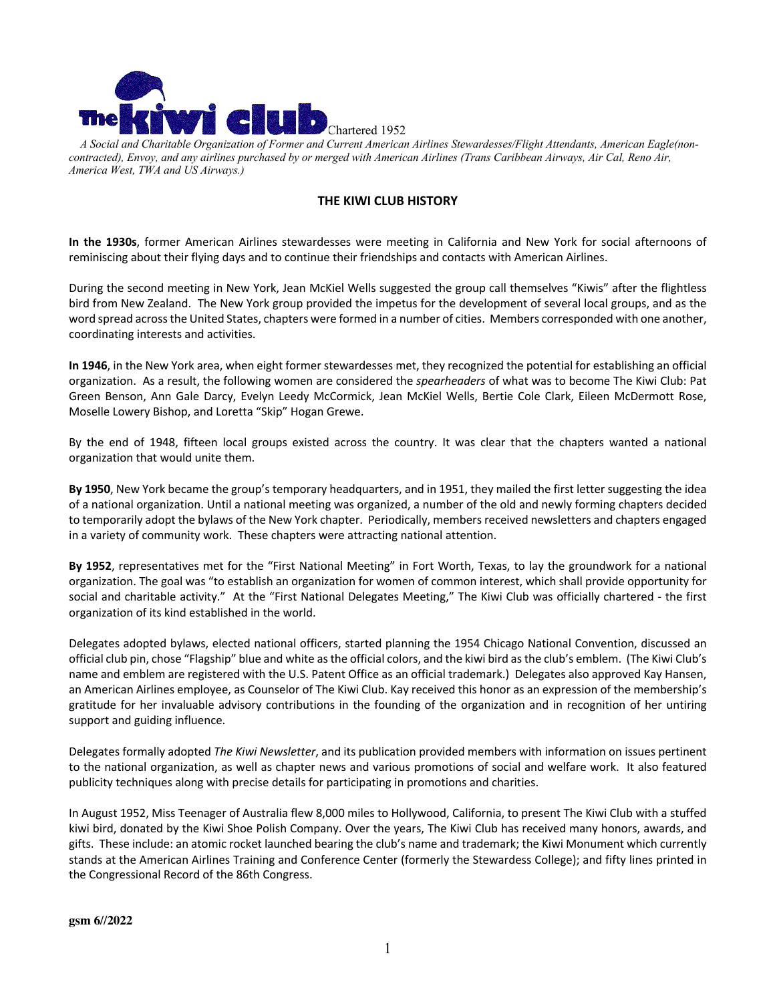

 *A Social and Charitable Organization of Former and Current American Airlines Stewardesses/Flight Attendants, American Eagle(noncontracted), Envoy, and any airlines purchased by or merged with American Airlines (Trans Caribbean Airways, Air Cal, Reno Air, America West, TWA and US Airways.)* 

## **THE KIWI CLUB HISTORY**

**In the 1930s**, former American Airlines stewardesses were meeting in California and New York for social afternoons of reminiscing about their flying days and to continue their friendships and contacts with American Airlines.

During the second meeting in New York, Jean McKiel Wells suggested the group call themselves "Kiwis" after the flightless bird from New Zealand. The New York group provided the impetus for the development of several local groups, and as the word spread across the United States, chapters were formed in a number of cities. Members corresponded with one another, coordinating interests and activities.

**In 1946**, in the New York area, when eight former stewardesses met, they recognized the potential for establishing an official organization. As a result, the following women are considered the *spearheaders* of what was to become The Kiwi Club: Pat Green Benson, Ann Gale Darcy, Evelyn Leedy McCormick, Jean McKiel Wells, Bertie Cole Clark, Eileen McDermott Rose, Moselle Lowery Bishop, and Loretta "Skip" Hogan Grewe.

By the end of 1948, fifteen local groups existed across the country. It was clear that the chapters wanted a national organization that would unite them.

**By 1950**, New York became the group's temporary headquarters, and in 1951, they mailed the first letter suggesting the idea of a national organization. Until a national meeting was organized, a number of the old and newly forming chapters decided to temporarily adopt the bylaws of the New York chapter. Periodically, members received newsletters and chapters engaged in a variety of community work. These chapters were attracting national attention.

**By 1952**, representatives met for the "First National Meeting" in Fort Worth, Texas, to lay the groundwork for a national organization. The goal was "to establish an organization for women of common interest, which shall provide opportunity for social and charitable activity." At the "First National Delegates Meeting," The Kiwi Club was officially chartered - the first organization of its kind established in the world.

Delegates adopted bylaws, elected national officers, started planning the 1954 Chicago National Convention, discussed an official club pin, chose "Flagship" blue and white as the official colors, and the kiwi bird as the club's emblem. (The Kiwi Club's name and emblem are registered with the U.S. Patent Office as an official trademark.) Delegates also approved Kay Hansen, an American Airlines employee, as Counselor of The Kiwi Club. Kay received this honor as an expression of the membership's gratitude for her invaluable advisory contributions in the founding of the organization and in recognition of her untiring support and guiding influence.

Delegates formally adopted *The Kiwi Newsletter*, and its publication provided members with information on issues pertinent to the national organization, as well as chapter news and various promotions of social and welfare work. It also featured publicity techniques along with precise details for participating in promotions and charities.

In August 1952, Miss Teenager of Australia flew 8,000 miles to Hollywood, California, to present The Kiwi Club with a stuffed kiwi bird, donated by the Kiwi Shoe Polish Company. Over the years, The Kiwi Club has received many honors, awards, and gifts. These include: an atomic rocket launched bearing the club's name and trademark; the Kiwi Monument which currently stands at the American Airlines Training and Conference Center (formerly the Stewardess College); and fifty lines printed in the Congressional Record of the 86th Congress.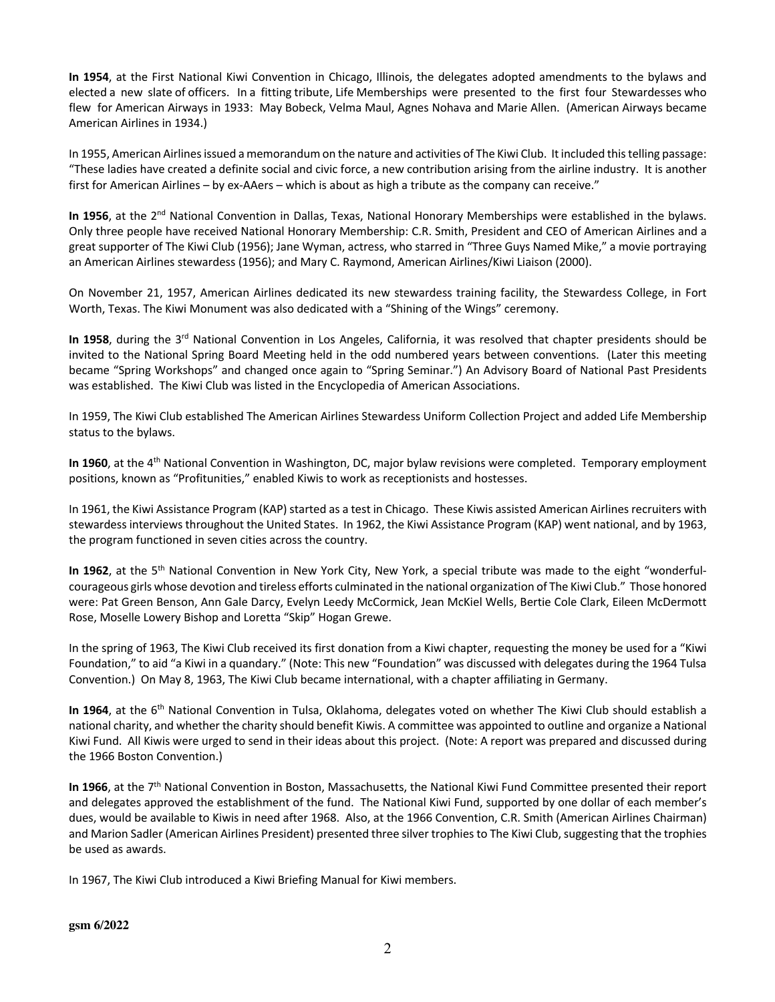**In 1954**, at the First National Kiwi Convention in Chicago, Illinois, the delegates adopted amendments to the bylaws and elected a new slate of officers. In a fitting tribute, Life Memberships were presented to the first four Stewardesses who flew for American Airways in 1933: May Bobeck, Velma Maul, Agnes Nohava and Marie Allen. (American Airways became American Airlines in 1934.)

In 1955, American Airlines issued a memorandum on the nature and activities of The Kiwi Club. It included this telling passage: "These ladies have created a definite social and civic force, a new contribution arising from the airline industry. It is another first for American Airlines – by ex-AAers – which is about as high a tribute as the company can receive."

In 1956, at the 2<sup>nd</sup> National Convention in Dallas, Texas, National Honorary Memberships were established in the bylaws. Only three people have received National Honorary Membership: C.R. Smith, President and CEO of American Airlines and a great supporter of The Kiwi Club (1956); Jane Wyman, actress, who starred in "Three Guys Named Mike," a movie portraying an American Airlines stewardess (1956); and Mary C. Raymond, American Airlines/Kiwi Liaison (2000).

On November 21, 1957, American Airlines dedicated its new stewardess training facility, the Stewardess College, in Fort Worth, Texas. The Kiwi Monument was also dedicated with a "Shining of the Wings" ceremony.

In 1958, during the 3<sup>rd</sup> National Convention in Los Angeles, California, it was resolved that chapter presidents should be invited to the National Spring Board Meeting held in the odd numbered years between conventions. (Later this meeting became "Spring Workshops" and changed once again to "Spring Seminar.") An Advisory Board of National Past Presidents was established. The Kiwi Club was listed in the Encyclopedia of American Associations.

In 1959, The Kiwi Club established The American Airlines Stewardess Uniform Collection Project and added Life Membership status to the bylaws.

**In 1960**, at the 4th National Convention in Washington, DC, major bylaw revisions were completed. Temporary employment positions, known as "Profitunities," enabled Kiwis to work as receptionists and hostesses.

In 1961, the Kiwi Assistance Program (KAP) started as a test in Chicago. These Kiwis assisted American Airlines recruiters with stewardess interviews throughout the United States. In 1962, the Kiwi Assistance Program (KAP) went national, and by 1963, the program functioned in seven cities across the country.

**In 1962**, at the 5th National Convention in New York City, New York, a special tribute was made to the eight "wonderfulcourageous girls whose devotion and tireless efforts culminated in the national organization of The Kiwi Club." Those honored were: Pat Green Benson, Ann Gale Darcy, Evelyn Leedy McCormick, Jean McKiel Wells, Bertie Cole Clark, Eileen McDermott Rose, Moselle Lowery Bishop and Loretta "Skip" Hogan Grewe.

In the spring of 1963, The Kiwi Club received its first donation from a Kiwi chapter, requesting the money be used for a "Kiwi Foundation," to aid "a Kiwi in a quandary." (Note: This new "Foundation" was discussed with delegates during the 1964 Tulsa Convention.) On May 8, 1963, The Kiwi Club became international, with a chapter affiliating in Germany.

**In 1964**, at the 6th National Convention in Tulsa, Oklahoma, delegates voted on whether The Kiwi Club should establish a national charity, and whether the charity should benefit Kiwis. A committee was appointed to outline and organize a National Kiwi Fund. All Kiwis were urged to send in their ideas about this project. (Note: A report was prepared and discussed during the 1966 Boston Convention.)

In 1966, at the 7<sup>th</sup> National Convention in Boston, Massachusetts, the National Kiwi Fund Committee presented their report and delegates approved the establishment of the fund. The National Kiwi Fund, supported by one dollar of each member's dues, would be available to Kiwis in need after 1968. Also, at the 1966 Convention, C.R. Smith (American Airlines Chairman) and Marion Sadler (American Airlines President) presented three silver trophies to The Kiwi Club, suggesting that the trophies be used as awards.

In 1967, The Kiwi Club introduced a Kiwi Briefing Manual for Kiwi members.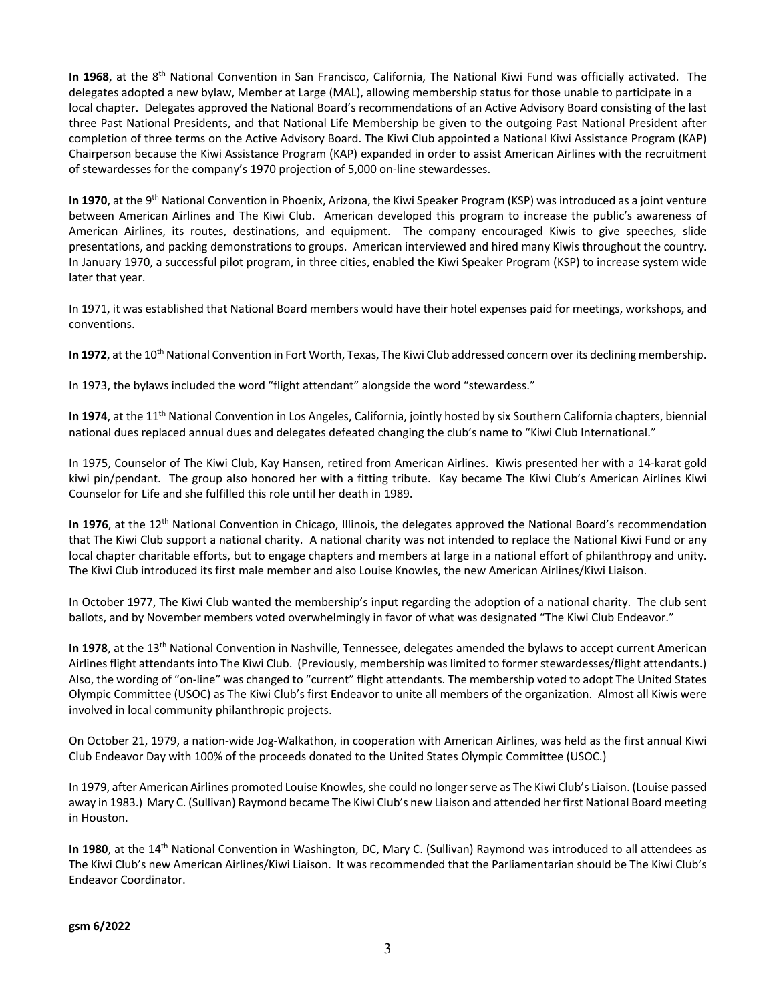**In 1968**, at the 8th National Convention in San Francisco, California, The National Kiwi Fund was officially activated. The delegates adopted a new bylaw, Member at Large (MAL), allowing membership status for those unable to participate in a local chapter. Delegates approved the National Board's recommendations of an Active Advisory Board consisting of the last three Past National Presidents, and that National Life Membership be given to the outgoing Past National President after completion of three terms on the Active Advisory Board. The Kiwi Club appointed a National Kiwi Assistance Program (KAP) Chairperson because the Kiwi Assistance Program (KAP) expanded in order to assist American Airlines with the recruitment of stewardesses for the company's 1970 projection of 5,000 on-line stewardesses.

**In 1970**, at the 9th National Convention in Phoenix, Arizona, the Kiwi Speaker Program (KSP) was introduced as a joint venture between American Airlines and The Kiwi Club. American developed this program to increase the public's awareness of American Airlines, its routes, destinations, and equipment. The company encouraged Kiwis to give speeches, slide presentations, and packing demonstrations to groups. American interviewed and hired many Kiwis throughout the country. In January 1970, a successful pilot program, in three cities, enabled the Kiwi Speaker Program (KSP) to increase system wide later that year.

In 1971, it was established that National Board members would have their hotel expenses paid for meetings, workshops, and conventions.

In 1972, at the 10<sup>th</sup> National Convention in Fort Worth, Texas, The Kiwi Club addressed concern over its declining membership.

In 1973, the bylaws included the word "flight attendant" alongside the word "stewardess."

In 1974, at the 11<sup>th</sup> National Convention in Los Angeles, California, jointly hosted by six Southern California chapters, biennial national dues replaced annual dues and delegates defeated changing the club's name to "Kiwi Club International."

In 1975, Counselor of The Kiwi Club, Kay Hansen, retired from American Airlines. Kiwis presented her with a 14-karat gold kiwi pin/pendant. The group also honored her with a fitting tribute. Kay became The Kiwi Club's American Airlines Kiwi Counselor for Life and she fulfilled this role until her death in 1989.

In 1976, at the 12<sup>th</sup> National Convention in Chicago, Illinois, the delegates approved the National Board's recommendation that The Kiwi Club support a national charity. A national charity was not intended to replace the National Kiwi Fund or any local chapter charitable efforts, but to engage chapters and members at large in a national effort of philanthropy and unity. The Kiwi Club introduced its first male member and also Louise Knowles, the new American Airlines/Kiwi Liaison.

In October 1977, The Kiwi Club wanted the membership's input regarding the adoption of a national charity. The club sent ballots, and by November members voted overwhelmingly in favor of what was designated "The Kiwi Club Endeavor."

In 1978, at the 13<sup>th</sup> National Convention in Nashville, Tennessee, delegates amended the bylaws to accept current American Airlines flight attendants into The Kiwi Club. (Previously, membership was limited to former stewardesses/flight attendants.) Also, the wording of "on-line" was changed to "current" flight attendants. The membership voted to adopt The United States Olympic Committee (USOC) as The Kiwi Club's first Endeavor to unite all members of the organization. Almost all Kiwis were involved in local community philanthropic projects.

On October 21, 1979, a nation-wide Jog-Walkathon, in cooperation with American Airlines, was held as the first annual Kiwi Club Endeavor Day with 100% of the proceeds donated to the United States Olympic Committee (USOC.)

In 1979, after American Airlines promoted Louise Knowles, she could no longer serve as The Kiwi Club's Liaison. (Louise passed away in 1983.) Mary C. (Sullivan) Raymond became The Kiwi Club's new Liaison and attended her first National Board meeting in Houston.

**In 1980**, at the 14th National Convention in Washington, DC, Mary C. (Sullivan) Raymond was introduced to all attendees as The Kiwi Club's new American Airlines/Kiwi Liaison. It was recommended that the Parliamentarian should be The Kiwi Club's Endeavor Coordinator.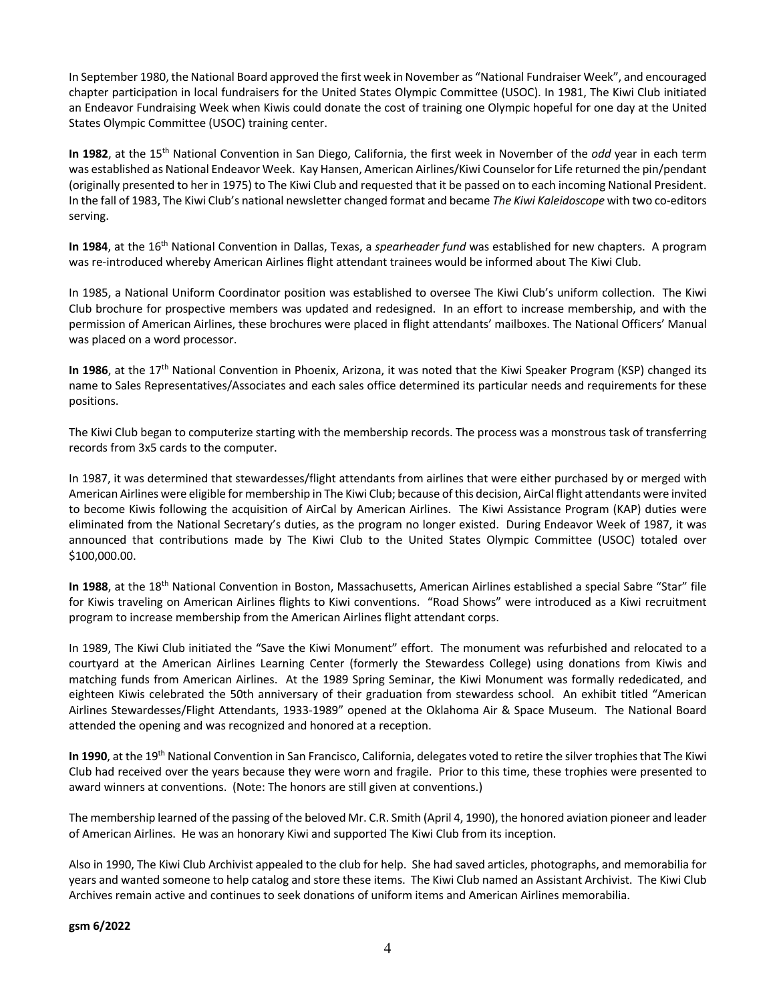In September 1980, the National Board approved the first week in November as "National Fundraiser Week", and encouraged chapter participation in local fundraisers for the United States Olympic Committee (USOC). In 1981, The Kiwi Club initiated an Endeavor Fundraising Week when Kiwis could donate the cost of training one Olympic hopeful for one day at the United States Olympic Committee (USOC) training center.

**In 1982**, at the 15th National Convention in San Diego, California, the first week in November of the *odd* year in each term was established as National Endeavor Week. Kay Hansen, American Airlines/Kiwi Counselor for Life returned the pin/pendant (originally presented to her in 1975) to The Kiwi Club and requested that it be passed on to each incoming National President. In the fall of 1983, The Kiwi Club's national newsletter changed format and became *The Kiwi Kaleidoscope* with two co-editors serving.

**In 1984**, at the 16th National Convention in Dallas, Texas, a *spearheader fund* was established for new chapters. A program was re-introduced whereby American Airlines flight attendant trainees would be informed about The Kiwi Club.

In 1985, a National Uniform Coordinator position was established to oversee The Kiwi Club's uniform collection. The Kiwi Club brochure for prospective members was updated and redesigned. In an effort to increase membership, and with the permission of American Airlines, these brochures were placed in flight attendants' mailboxes. The National Officers' Manual was placed on a word processor.

In 1986, at the 17<sup>th</sup> National Convention in Phoenix, Arizona, it was noted that the Kiwi Speaker Program (KSP) changed its name to Sales Representatives/Associates and each sales office determined its particular needs and requirements for these positions.

The Kiwi Club began to computerize starting with the membership records. The process was a monstrous task of transferring records from 3x5 cards to the computer.

In 1987, it was determined that stewardesses/flight attendants from airlines that were either purchased by or merged with American Airlines were eligible for membership in The Kiwi Club; because of this decision, AirCal flight attendants were invited to become Kiwis following the acquisition of AirCal by American Airlines. The Kiwi Assistance Program (KAP) duties were eliminated from the National Secretary's duties, as the program no longer existed. During Endeavor Week of 1987, it was announced that contributions made by The Kiwi Club to the United States Olympic Committee (USOC) totaled over \$100,000.00.

**In 1988**, at the 18th National Convention in Boston, Massachusetts, American Airlines established a special Sabre "Star" file for Kiwis traveling on American Airlines flights to Kiwi conventions. "Road Shows" were introduced as a Kiwi recruitment program to increase membership from the American Airlines flight attendant corps.

In 1989, The Kiwi Club initiated the "Save the Kiwi Monument" effort. The monument was refurbished and relocated to a courtyard at the American Airlines Learning Center (formerly the Stewardess College) using donations from Kiwis and matching funds from American Airlines. At the 1989 Spring Seminar, the Kiwi Monument was formally rededicated, and eighteen Kiwis celebrated the 50th anniversary of their graduation from stewardess school. An exhibit titled "American Airlines Stewardesses/Flight Attendants, 1933-1989" opened at the Oklahoma Air & Space Museum. The National Board attended the opening and was recognized and honored at a reception.

In 1990, at the 19<sup>th</sup> National Convention in San Francisco, California, delegates voted to retire the silver trophies that The Kiwi Club had received over the years because they were worn and fragile. Prior to this time, these trophies were presented to award winners at conventions. (Note: The honors are still given at conventions.)

The membership learned of the passing of the beloved Mr. C.R. Smith (April 4, 1990), the honored aviation pioneer and leader of American Airlines. He was an honorary Kiwi and supported The Kiwi Club from its inception.

Also in 1990, The Kiwi Club Archivist appealed to the club for help. She had saved articles, photographs, and memorabilia for years and wanted someone to help catalog and store these items. The Kiwi Club named an Assistant Archivist. The Kiwi Club Archives remain active and continues to seek donations of uniform items and American Airlines memorabilia.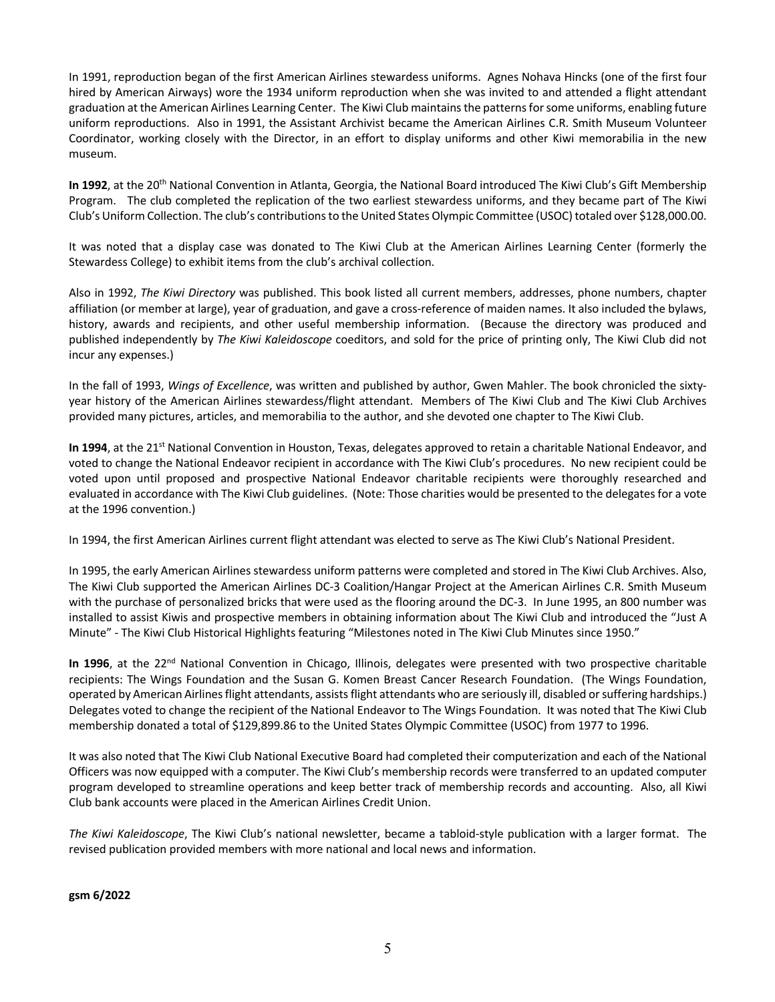In 1991, reproduction began of the first American Airlines stewardess uniforms. Agnes Nohava Hincks (one of the first four hired by American Airways) wore the 1934 uniform reproduction when she was invited to and attended a flight attendant graduation at the American Airlines Learning Center. The Kiwi Club maintains the patterns for some uniforms, enabling future uniform reproductions. Also in 1991, the Assistant Archivist became the American Airlines C.R. Smith Museum Volunteer Coordinator, working closely with the Director, in an effort to display uniforms and other Kiwi memorabilia in the new museum.

In 1992, at the 20<sup>th</sup> National Convention in Atlanta, Georgia, the National Board introduced The Kiwi Club's Gift Membership Program. The club completed the replication of the two earliest stewardess uniforms, and they became part of The Kiwi Club's Uniform Collection. The club's contributions to the United States Olympic Committee (USOC) totaled over \$128,000.00.

It was noted that a display case was donated to The Kiwi Club at the American Airlines Learning Center (formerly the Stewardess College) to exhibit items from the club's archival collection.

Also in 1992, *The Kiwi Directory* was published. This book listed all current members, addresses, phone numbers, chapter affiliation (or member at large), year of graduation, and gave a cross-reference of maiden names. It also included the bylaws, history, awards and recipients, and other useful membership information. (Because the directory was produced and published independently by *The Kiwi Kaleidoscope* coeditors, and sold for the price of printing only, The Kiwi Club did not incur any expenses.)

In the fall of 1993, *Wings of Excellence*, was written and published by author, Gwen Mahler. The book chronicled the sixtyyear history of the American Airlines stewardess/flight attendant. Members of The Kiwi Club and The Kiwi Club Archives provided many pictures, articles, and memorabilia to the author, and she devoted one chapter to The Kiwi Club.

In 1994, at the 21<sup>st</sup> National Convention in Houston, Texas, delegates approved to retain a charitable National Endeavor, and voted to change the National Endeavor recipient in accordance with The Kiwi Club's procedures. No new recipient could be voted upon until proposed and prospective National Endeavor charitable recipients were thoroughly researched and evaluated in accordance with The Kiwi Club guidelines. (Note: Those charities would be presented to the delegates for a vote at the 1996 convention.)

In 1994, the first American Airlines current flight attendant was elected to serve as The Kiwi Club's National President.

In 1995, the early American Airlines stewardess uniform patterns were completed and stored in The Kiwi Club Archives. Also, The Kiwi Club supported the American Airlines DC-3 Coalition/Hangar Project at the American Airlines C.R. Smith Museum with the purchase of personalized bricks that were used as the flooring around the DC-3. In June 1995, an 800 number was installed to assist Kiwis and prospective members in obtaining information about The Kiwi Club and introduced the "Just A Minute" - The Kiwi Club Historical Highlights featuring "Milestones noted in The Kiwi Club Minutes since 1950."

In 1996, at the 22<sup>nd</sup> National Convention in Chicago, Illinois, delegates were presented with two prospective charitable recipients: The Wings Foundation and the Susan G. Komen Breast Cancer Research Foundation. (The Wings Foundation, operated by American Airlines flight attendants, assists flight attendants who are seriously ill, disabled or suffering hardships.) Delegates voted to change the recipient of the National Endeavor to The Wings Foundation. It was noted that The Kiwi Club membership donated a total of \$129,899.86 to the United States Olympic Committee (USOC) from 1977 to 1996.

It was also noted that The Kiwi Club National Executive Board had completed their computerization and each of the National Officers was now equipped with a computer. The Kiwi Club's membership records were transferred to an updated computer program developed to streamline operations and keep better track of membership records and accounting. Also, all Kiwi Club bank accounts were placed in the American Airlines Credit Union.

*The Kiwi Kaleidoscope*, The Kiwi Club's national newsletter, became a tabloid-style publication with a larger format. The revised publication provided members with more national and local news and information.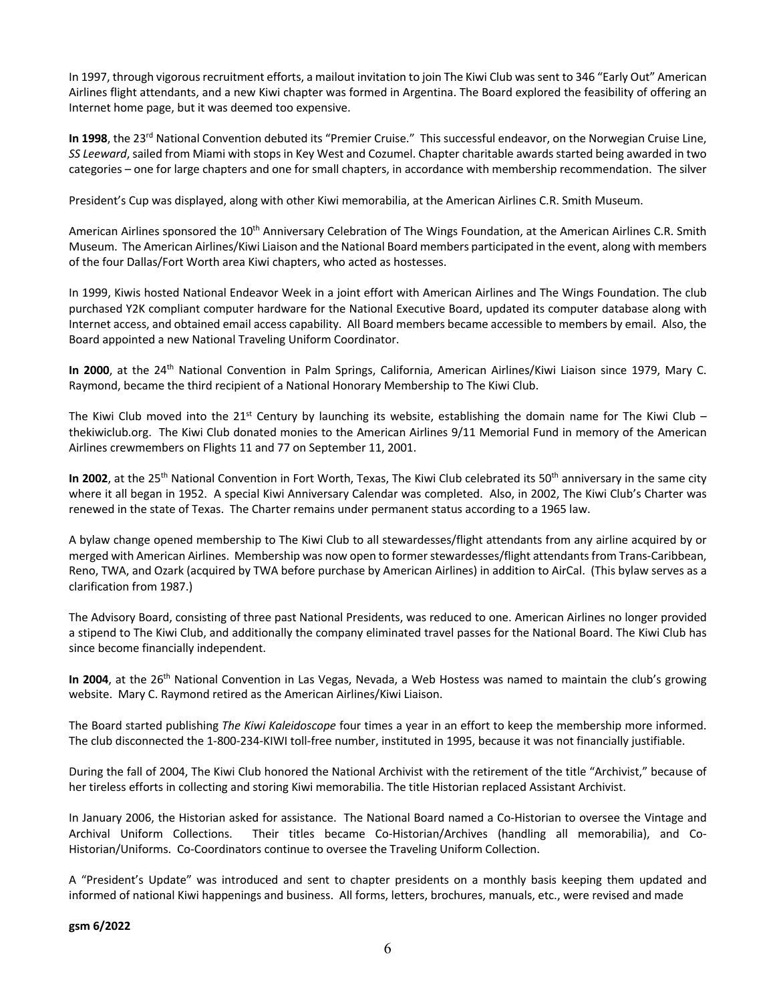In 1997, through vigorous recruitment efforts, a mailout invitation to join The Kiwi Club was sent to 346 "Early Out" American Airlines flight attendants, and a new Kiwi chapter was formed in Argentina. The Board explored the feasibility of offering an Internet home page, but it was deemed too expensive.

In 1998, the 23<sup>rd</sup> National Convention debuted its "Premier Cruise." This successful endeavor, on the Norwegian Cruise Line, *SS Leeward*, sailed from Miami with stops in Key West and Cozumel. Chapter charitable awards started being awarded in two categories – one for large chapters and one for small chapters, in accordance with membership recommendation. The silver

President's Cup was displayed, along with other Kiwi memorabilia, at the American Airlines C.R. Smith Museum.

American Airlines sponsored the 10<sup>th</sup> Anniversary Celebration of The Wings Foundation, at the American Airlines C.R. Smith Museum. The American Airlines/Kiwi Liaison and the National Board members participated in the event, along with members of the four Dallas/Fort Worth area Kiwi chapters, who acted as hostesses.

In 1999, Kiwis hosted National Endeavor Week in a joint effort with American Airlines and The Wings Foundation. The club purchased Y2K compliant computer hardware for the National Executive Board, updated its computer database along with Internet access, and obtained email access capability. All Board members became accessible to members by email. Also, the Board appointed a new National Traveling Uniform Coordinator.

**In 2000**, at the 24th National Convention in Palm Springs, California, American Airlines/Kiwi Liaison since 1979, Mary C. Raymond, became the third recipient of a National Honorary Membership to The Kiwi Club.

The Kiwi Club moved into the 21<sup>st</sup> Century by launching its website, establishing the domain name for The Kiwi Club – thekiwiclub.org. The Kiwi Club donated monies to the American Airlines 9/11 Memorial Fund in memory of the American Airlines crewmembers on Flights 11 and 77 on September 11, 2001.

In 2002, at the 25<sup>th</sup> National Convention in Fort Worth, Texas, The Kiwi Club celebrated its 50<sup>th</sup> anniversary in the same city where it all began in 1952. A special Kiwi Anniversary Calendar was completed. Also, in 2002, The Kiwi Club's Charter was renewed in the state of Texas. The Charter remains under permanent status according to a 1965 law.

A bylaw change opened membership to The Kiwi Club to all stewardesses/flight attendants from any airline acquired by or merged with American Airlines. Membership was now open to former stewardesses/flight attendants from Trans-Caribbean, Reno, TWA, and Ozark (acquired by TWA before purchase by American Airlines) in addition to AirCal. (This bylaw serves as a clarification from 1987.)

The Advisory Board, consisting of three past National Presidents, was reduced to one. American Airlines no longer provided a stipend to The Kiwi Club, and additionally the company eliminated travel passes for the National Board. The Kiwi Club has since become financially independent.

In 2004, at the 26<sup>th</sup> National Convention in Las Vegas, Nevada, a Web Hostess was named to maintain the club's growing website. Mary C. Raymond retired as the American Airlines/Kiwi Liaison.

The Board started publishing *The Kiwi Kaleidoscope* four times a year in an effort to keep the membership more informed. The club disconnected the 1-800-234-KIWI toll-free number, instituted in 1995, because it was not financially justifiable.

During the fall of 2004, The Kiwi Club honored the National Archivist with the retirement of the title "Archivist," because of her tireless efforts in collecting and storing Kiwi memorabilia. The title Historian replaced Assistant Archivist.

In January 2006, the Historian asked for assistance. The National Board named a Co-Historian to oversee the Vintage and Archival Uniform Collections. Their titles became Co-Historian/Archives (handling all memorabilia), and Co-Historian/Uniforms. Co-Coordinators continue to oversee the Traveling Uniform Collection.

A "President's Update" was introduced and sent to chapter presidents on a monthly basis keeping them updated and informed of national Kiwi happenings and business. All forms, letters, brochures, manuals, etc., were revised and made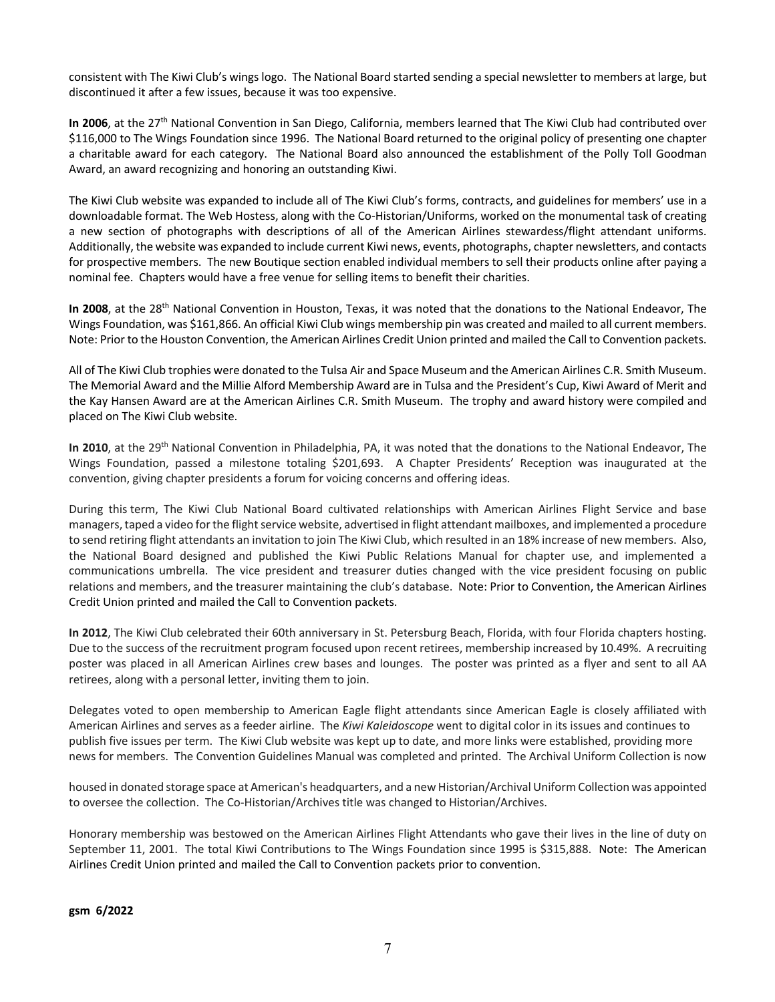consistent with The Kiwi Club's wings logo. The National Board started sending a special newsletter to members at large, but discontinued it after a few issues, because it was too expensive.

In 2006, at the 27<sup>th</sup> National Convention in San Diego, California, members learned that The Kiwi Club had contributed over \$116,000 to The Wings Foundation since 1996. The National Board returned to the original policy of presenting one chapter a charitable award for each category. The National Board also announced the establishment of the Polly Toll Goodman Award, an award recognizing and honoring an outstanding Kiwi.

The Kiwi Club website was expanded to include all of The Kiwi Club's forms, contracts, and guidelines for members' use in a downloadable format. The Web Hostess, along with the Co-Historian/Uniforms, worked on the monumental task of creating a new section of photographs with descriptions of all of the American Airlines stewardess/flight attendant uniforms. Additionally, the website was expanded to include current Kiwi news, events, photographs, chapter newsletters, and contacts for prospective members. The new Boutique section enabled individual members to sell their products online after paying a nominal fee. Chapters would have a free venue for selling items to benefit their charities.

**In 2008**, at the 28th National Convention in Houston, Texas, it was noted that the donations to the National Endeavor, The Wings Foundation, was \$161,866. An official Kiwi Club wings membership pin was created and mailed to all current members. Note: Prior to the Houston Convention, the American Airlines Credit Union printed and mailed the Call to Convention packets.

All of The Kiwi Club trophies were donated to the Tulsa Air and Space Museum and the American Airlines C.R. Smith Museum. The Memorial Award and the Millie Alford Membership Award are in Tulsa and the President's Cup, Kiwi Award of Merit and the Kay Hansen Award are at the American Airlines C.R. Smith Museum. The trophy and award history were compiled and placed on The Kiwi Club website.

**In 2010**, at the 29th National Convention in Philadelphia, PA, it was noted that the donations to the National Endeavor, The Wings Foundation, passed a milestone totaling \$201,693. A Chapter Presidents' Reception was inaugurated at the convention, giving chapter presidents a forum for voicing concerns and offering ideas.

During this term, The Kiwi Club National Board cultivated relationships with American Airlines Flight Service and base managers, taped a video for the flight service website, advertised in flight attendant mailboxes, and implemented a procedure to send retiring flight attendants an invitation to join The Kiwi Club, which resulted in an 18% increase of new members. Also, the National Board designed and published the Kiwi Public Relations Manual for chapter use, and implemented a communications umbrella. The vice president and treasurer duties changed with the vice president focusing on public relations and members, and the treasurer maintaining the club's database. Note: Prior to Convention, the American Airlines Credit Union printed and mailed the Call to Convention packets.

**In 2012**, The Kiwi Club celebrated their 60th anniversary in St. Petersburg Beach, Florida, with four Florida chapters hosting. Due to the success of the recruitment program focused upon recent retirees, membership increased by 10.49%. A recruiting poster was placed in all American Airlines crew bases and lounges. The poster was printed as a flyer and sent to all AA retirees, along with a personal letter, inviting them to join.

Delegates voted to open membership to American Eagle flight attendants since American Eagle is closely affiliated with American Airlines and serves as a feeder airline. The *Kiwi Kaleidoscope* went to digital color in its issues and continues to publish five issues per term. The Kiwi Club website was kept up to date, and more links were established, providing more news for members. The Convention Guidelines Manual was completed and printed. The Archival Uniform Collection is now

housed in donated storage space at American's headquarters, and a new Historian/Archival Uniform Collection was appointed to oversee the collection. The Co-Historian/Archives title was changed to Historian/Archives.

Honorary membership was bestowed on the American Airlines Flight Attendants who gave their lives in the line of duty on September 11, 2001. The total Kiwi Contributions to The Wings Foundation since 1995 is \$315,888. Note: The American Airlines Credit Union printed and mailed the Call to Convention packets prior to convention.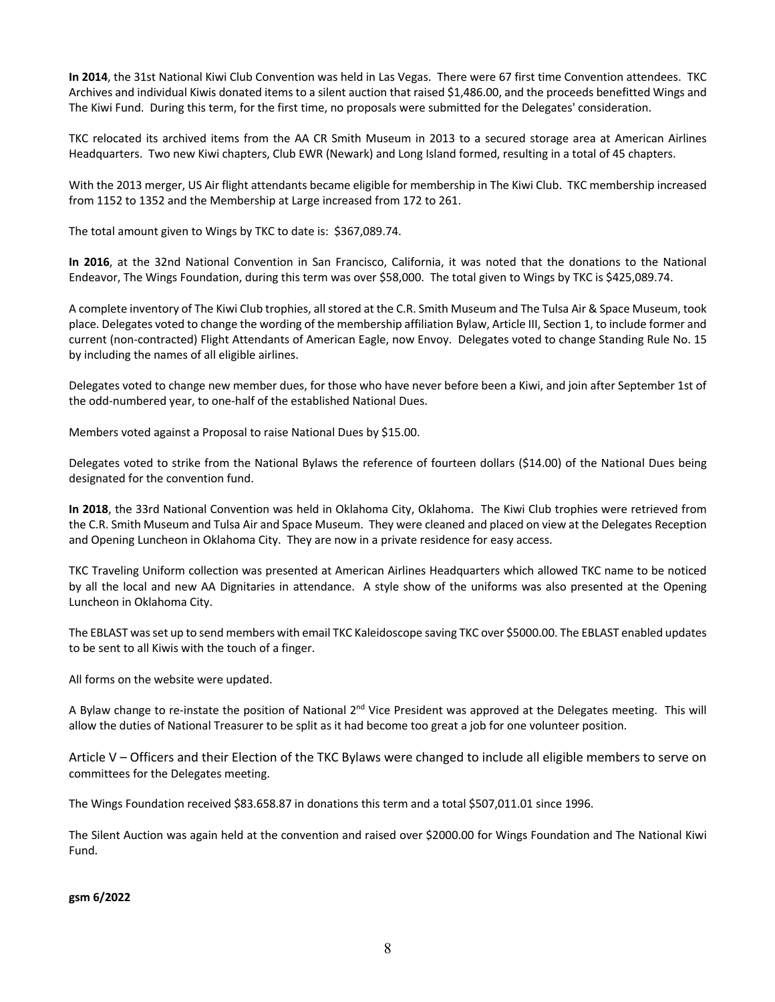**In 2014**, the 31st National Kiwi Club Convention was held in Las Vegas. There were 67 first time Convention attendees. TKC Archives and individual Kiwis donated items to a silent auction that raised \$1,486.00, and the proceeds benefitted Wings and The Kiwi Fund. During this term, for the first time, no proposals were submitted for the Delegates' consideration.

TKC relocated its archived items from the AA CR Smith Museum in 2013 to a secured storage area at American Airlines Headquarters. Two new Kiwi chapters, Club EWR (Newark) and Long Island formed, resulting in a total of 45 chapters.

With the 2013 merger, US Air flight attendants became eligible for membership in The Kiwi Club. TKC membership increased from 1152 to 1352 and the Membership at Large increased from 172 to 261.

The total amount given to Wings by TKC to date is: \$367,089.74.

**In 2016**, at the 32nd National Convention in San Francisco, California, it was noted that the donations to the National Endeavor, The Wings Foundation, during this term was over \$58,000. The total given to Wings by TKC is \$425,089.74.

A complete inventory of The Kiwi Club trophies, all stored at the C.R. Smith Museum and The Tulsa Air & Space Museum, took place. Delegates voted to change the wording of the membership affiliation Bylaw, Article III, Section 1, to include former and current (non-contracted) Flight Attendants of American Eagle, now Envoy. Delegates voted to change Standing Rule No. 15 by including the names of all eligible airlines.

Delegates voted to change new member dues, for those who have never before been a Kiwi, and join after September 1st of the odd-numbered year, to one-half of the established National Dues.

Members voted against a Proposal to raise National Dues by \$15.00.

Delegates voted to strike from the National Bylaws the reference of fourteen dollars (\$14.00) of the National Dues being designated for the convention fund.

**In 2018**, the 33rd National Convention was held in Oklahoma City, Oklahoma. The Kiwi Club trophies were retrieved from the C.R. Smith Museum and Tulsa Air and Space Museum. They were cleaned and placed on view at the Delegates Reception and Opening Luncheon in Oklahoma City. They are now in a private residence for easy access.

TKC Traveling Uniform collection was presented at American Airlines Headquarters which allowed TKC name to be noticed by all the local and new AA Dignitaries in attendance. A style show of the uniforms was also presented at the Opening Luncheon in Oklahoma City.

The EBLAST was set up to send members with email TKC Kaleidoscope saving TKC over \$5000.00. The EBLAST enabled updates to be sent to all Kiwis with the touch of a finger.

All forms on the website were updated.

A Bylaw change to re-instate the position of National 2<sup>nd</sup> Vice President was approved at the Delegates meeting. This will allow the duties of National Treasurer to be split as it had become too great a job for one volunteer position.

Article V – Officers and their Election of the TKC Bylaws were changed to include all eligible members to serve on committees for the Delegates meeting.

The Wings Foundation received \$83.658.87 in donations this term and a total \$507,011.01 since 1996.

The Silent Auction was again held at the convention and raised over \$2000.00 for Wings Foundation and The National Kiwi Fund.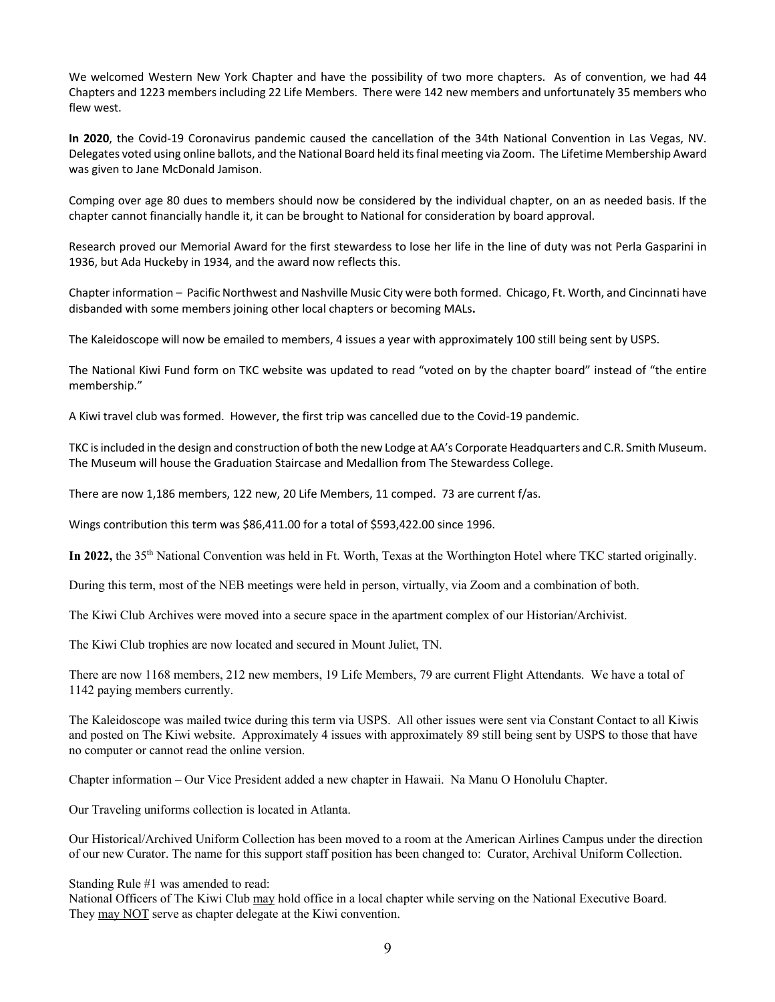We welcomed Western New York Chapter and have the possibility of two more chapters. As of convention, we had 44 Chapters and 1223 members including 22 Life Members. There were 142 new members and unfortunately 35 members who flew west.

**In 2020**, the Covid-19 Coronavirus pandemic caused the cancellation of the 34th National Convention in Las Vegas, NV. Delegates voted using online ballots, and the National Board held its final meeting via Zoom. The Lifetime Membership Award was given to Jane McDonald Jamison.

Comping over age 80 dues to members should now be considered by the individual chapter, on an as needed basis. If the chapter cannot financially handle it, it can be brought to National for consideration by board approval.

Research proved our Memorial Award for the first stewardess to lose her life in the line of duty was not Perla Gasparini in 1936, but Ada Huckeby in 1934, and the award now reflects this.

Chapter information – Pacific Northwest and Nashville Music City were both formed. Chicago, Ft. Worth, and Cincinnati have disbanded with some members joining other local chapters or becoming MALs**.** 

The Kaleidoscope will now be emailed to members, 4 issues a year with approximately 100 still being sent by USPS.

The National Kiwi Fund form on TKC website was updated to read "voted on by the chapter board" instead of "the entire membership."

A Kiwi travel club was formed. However, the first trip was cancelled due to the Covid-19 pandemic.

TKC is included in the design and construction of both the new Lodge at AA's Corporate Headquarters and C.R. Smith Museum. The Museum will house the Graduation Staircase and Medallion from The Stewardess College.

There are now 1,186 members, 122 new, 20 Life Members, 11 comped. 73 are current f/as.

Wings contribution this term was \$86,411.00 for a total of \$593,422.00 since 1996.

**In 2022,** the 35th National Convention was held in Ft. Worth, Texas at the Worthington Hotel where TKC started originally.

During this term, most of the NEB meetings were held in person, virtually, via Zoom and a combination of both.

The Kiwi Club Archives were moved into a secure space in the apartment complex of our Historian/Archivist.

The Kiwi Club trophies are now located and secured in Mount Juliet, TN.

There are now 1168 members, 212 new members, 19 Life Members, 79 are current Flight Attendants. We have a total of 1142 paying members currently.

The Kaleidoscope was mailed twice during this term via USPS. All other issues were sent via Constant Contact to all Kiwis and posted on The Kiwi website. Approximately 4 issues with approximately 89 still being sent by USPS to those that have no computer or cannot read the online version.

Chapter information – Our Vice President added a new chapter in Hawaii. Na Manu O Honolulu Chapter.

Our Traveling uniforms collection is located in Atlanta.

Our Historical/Archived Uniform Collection has been moved to a room at the American Airlines Campus under the direction of our new Curator. The name for this support staff position has been changed to: Curator, Archival Uniform Collection.

Standing Rule #1 was amended to read:

National Officers of The Kiwi Club may hold office in a local chapter while serving on the National Executive Board. They may NOT serve as chapter delegate at the Kiwi convention.